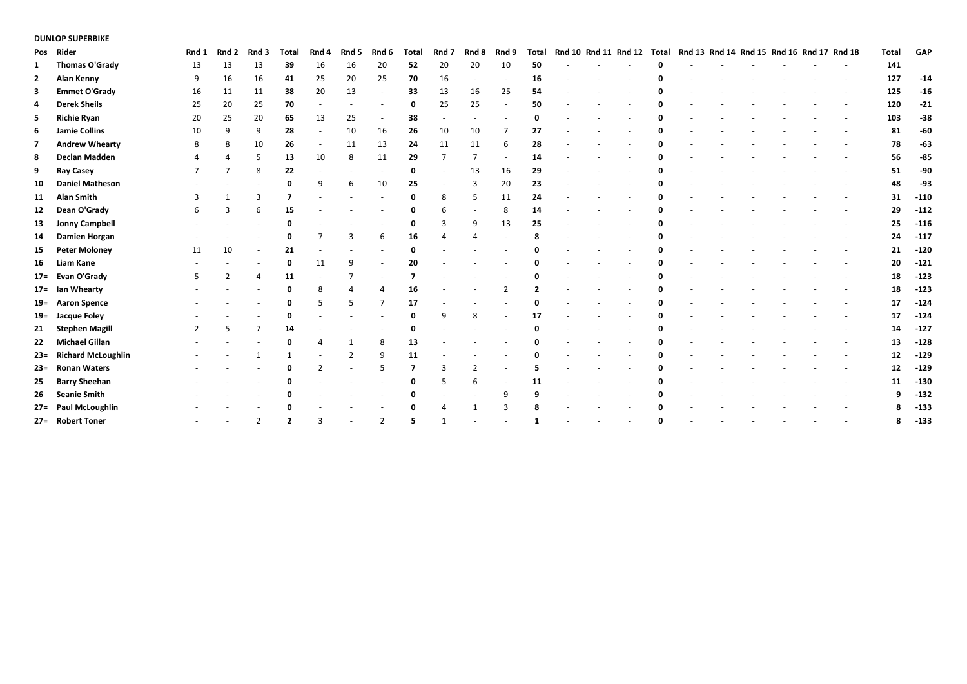## **DUNLOP SUPERBIKE**

|                | Pos Rider              | Rnd 1 | Rnd 2          | Rnd 3          | Total       | Rnd 4 | Rnd 5 | Rnd 6                    | Total | Rnd 7  | Rnd 8          | Rnd 9                    | Total | Rnd 10 Rnd 11 Rnd 12 |  | Total | Rnd 13 Rnd 14 Rnd 15 Rnd 16 Rnd 17 Rnd 18 |  |  | Total | GAP    |
|----------------|------------------------|-------|----------------|----------------|-------------|-------|-------|--------------------------|-------|--------|----------------|--------------------------|-------|----------------------|--|-------|-------------------------------------------|--|--|-------|--------|
| 1              | Thomas O'Grady         | 13    | 13             | 13             | 39          | 16    | 16    | 20                       | 52    | 20     | 20             | 10                       | 50    |                      |  |       |                                           |  |  | 141   |        |
| $\overline{2}$ | Alan Kenny             | 9     | 16             | 16             | 41          | 25    | 20    | 25                       | 70    | 16     |                | $\overline{\phantom{a}}$ | 16    |                      |  |       |                                           |  |  | 127   | $-14$  |
| 3              | <b>Emmet O'Grady</b>   | 16    | 11             | 11             | 38          | 20    | 13    |                          | 33    | 13     | 16             | 25                       | 54    |                      |  |       |                                           |  |  | 125   | $-16$  |
| 4              | <b>Derek Sheils</b>    | 25    | 20             | 25             | 70          |       |       |                          | 0     | 25     | 25             | $\overline{\phantom{a}}$ | 50    |                      |  |       |                                           |  |  | 120   | $-21$  |
| 5              | <b>Richie Ryan</b>     | 20    | 25             | 20             | 65          | 13    | 25    |                          | 38    |        |                |                          |       |                      |  |       |                                           |  |  | 103   | $-38$  |
| 6              | <b>Jamie Collins</b>   | 10    | 9              | 9              | 28          |       | 10    | 16                       | 26    | 10     | 10             | 7                        | 27    |                      |  |       |                                           |  |  | 81    | $-60$  |
| 7              | <b>Andrew Whearty</b>  | 8     | 8              | 10             | 26          |       | 11    | 13                       | 24    | 11     | 11             | 6                        | 28    |                      |  |       |                                           |  |  | 78    | $-63$  |
| 8              | Declan Madden          |       |                | 5              | 13          | 10    | 8     | 11                       | 29    | 7      | 7              | $\sim$                   | 14    |                      |  |       |                                           |  |  | 56    | $-85$  |
| 9              | <b>Ray Casey</b>       |       |                | 8              | 22          |       |       |                          | 0     |        | 13             | 16                       | 29    |                      |  |       |                                           |  |  | 51    | $-90$  |
| 10             | <b>Daniel Matheson</b> |       |                |                | 0           | q     |       | 10                       | 25    | $\sim$ | 3              | 20                       | 23    |                      |  |       |                                           |  |  | 48    | -93    |
| 11             | <b>Alan Smith</b>      |       |                | 3              | 7           |       |       |                          | 0     | 8      | 5              | 11                       | 24    |                      |  |       |                                           |  |  | 31    | $-110$ |
| 12             | Dean O'Grady           | 6     | 3              | 6              | 15          |       |       |                          | 0     | 6      |                | 8                        | 14    |                      |  |       |                                           |  |  | 29    | $-112$ |
| 13             | <b>Jonny Campbell</b>  |       |                |                | 0           |       |       |                          | 0     | 3      | 9              | 13                       | 25    |                      |  |       |                                           |  |  | 25    | $-116$ |
| 14             | Damien Horgan          |       |                |                | 0           |       |       | 6                        | 16    | 4      |                |                          |       |                      |  |       |                                           |  |  | 24    | $-117$ |
| 15             | <b>Peter Moloney</b>   | 11    | 10             |                | 21          |       |       |                          |       |        |                |                          |       |                      |  |       |                                           |  |  | 21    | $-120$ |
| 16             | Liam Kane              |       |                |                | $\mathbf 0$ | 11    | 9     | $\overline{\phantom{a}}$ | 20    |        |                |                          |       |                      |  |       |                                           |  |  | 20    | $-121$ |
|                | 17= Evan O'Grady       | 5     | $\overline{2}$ |                | 11          |       |       |                          |       |        |                |                          |       |                      |  |       |                                           |  |  | 18    | $-123$ |
|                | 17= Ian Whearty        |       |                |                | 0           | 8     |       |                          | 16    |        |                | $\overline{2}$           |       |                      |  |       |                                           |  |  | 18    | $-123$ |
|                | 19= Aaron Spence       |       |                |                | $\mathbf 0$ | 5     | 5     |                          | 17    |        |                |                          |       |                      |  |       |                                           |  |  | 17    | $-124$ |
|                | 19= Jacque Foley       |       |                |                |             |       |       |                          | 0     | 9      | 8              |                          | 17    |                      |  |       |                                           |  |  | 17    | $-124$ |
| 21             | <b>Stephen Magill</b>  | 2     | 5              |                | 14          |       |       |                          | 0     |        |                |                          |       |                      |  |       |                                           |  |  | 14    | $-127$ |
| 22             | Michael Gillan         |       |                |                |             |       |       | 8                        | 13    |        |                |                          |       |                      |  |       |                                           |  |  | 13    | $-128$ |
|                | 23= Richard McLoughlin |       |                |                | -1          |       | 2     | q                        | 11    |        |                |                          |       |                      |  |       |                                           |  |  | 12    | $-129$ |
|                | 23= Ronan Waters       |       |                |                |             |       |       |                          |       | 3      | $\overline{2}$ |                          |       |                      |  |       |                                           |  |  | 12    | $-129$ |
| 25             | <b>Barry Sheehan</b>   |       |                |                |             |       |       |                          |       |        | 6              | $\sim$                   | 11    |                      |  |       |                                           |  |  | 11    | $-130$ |
|                | 26 Seanie Smith        |       |                |                |             |       |       |                          |       |        |                | 9                        |       |                      |  |       |                                           |  |  | 9     | $-132$ |
|                | 27= Paul McLoughlin    |       |                |                |             |       |       |                          |       | 4      |                | 3                        |       |                      |  |       |                                           |  |  |       | $-133$ |
|                | 27= Robert Toner       |       |                | $\overline{2}$ | ,           |       |       |                          |       |        |                |                          |       |                      |  |       |                                           |  |  |       | $-133$ |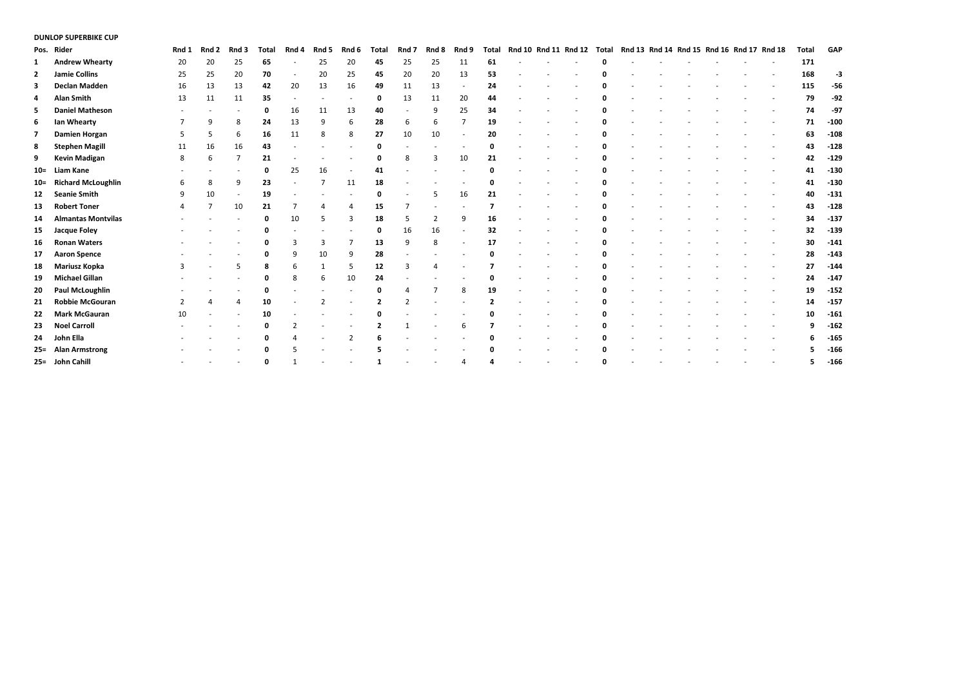#### **DUNLOP SUPERBIKE CUP**

|        | Pos. Rider                | Rnd 1          | Rnd 2 | Rnd 3 | Total | Rnd 4                    | Rnd 5 | Rnd 6                    | <b>Total</b> | Rnd 7 | Rnd 8          | Rnd 9 | <b>Total</b> |  | Rnd 10 Rnd 11 Rnd 12 | Total |  | Rnd 13 Rnd 14 Rnd 15 Rnd 16 Rnd 17 Rnd 18 |  | Total | GAP    |
|--------|---------------------------|----------------|-------|-------|-------|--------------------------|-------|--------------------------|--------------|-------|----------------|-------|--------------|--|----------------------|-------|--|-------------------------------------------|--|-------|--------|
| 1      | <b>Andrew Whearty</b>     | 20             | 20    | 25    | 65    |                          | 25    | 20                       | 45           | 25    | 25             | 11    | 61           |  |                      |       |  |                                           |  | 171   |        |
| 2      | <b>Jamie Collins</b>      | 25             | 25    | 20    | 70    | $\overline{\phantom{a}}$ | 20    | 25                       | 45           | 20    | 20             | 13    | 53           |  |                      |       |  |                                           |  | 168   | -3     |
| з      | Declan Madden             | 16             | 13    | 13    | 42    | 20                       | 13    | 16                       | 49           | 11    | 13             |       | 24           |  |                      |       |  |                                           |  | 115   | $-56$  |
| 4      | <b>Alan Smith</b>         | 13             | 11    | 11    | 35    |                          |       | $\overline{\phantom{a}}$ | 0            | 13    | 11             | 20    | 44           |  |                      |       |  |                                           |  | 79    | $-92$  |
| 5.     | <b>Daniel Matheson</b>    |                |       |       | 0     | 16                       | 11    | 13                       | 40           |       | 9              | 25    | 34           |  |                      |       |  |                                           |  | 74    | $-97$  |
| 6      | lan Whearty               |                | 9     | 8     | 24    | 13                       | 9     | 6                        | 28           | 6     | 6              |       | 19           |  |                      |       |  |                                           |  | 71    | $-100$ |
| 7      | <b>Damien Horgan</b>      | 5              | 5     | 6     | 16    | 11                       | 8     | 8                        | 27           | 10    | 10             |       | 20           |  |                      |       |  |                                           |  | 63    | $-108$ |
| 8      | <b>Stephen Magill</b>     | 11             | 16    | 16    | 43    |                          |       |                          | $\Omega$     |       |                |       | 0            |  |                      |       |  |                                           |  | 43    | $-128$ |
| 9      | <b>Kevin Madigan</b>      | -8             | 6     |       | 21    |                          |       |                          | $\Omega$     | 8     | 3              | 10    | 21           |  |                      |       |  |                                           |  | 42    | $-129$ |
| $10 =$ | Liam Kane                 |                |       |       | 0     | 25                       | 16    |                          | 41           |       |                |       |              |  |                      |       |  |                                           |  | 41    | $-130$ |
|        | 10= Richard McLoughlin    | 6              | 8     | 9     | 23    |                          |       | 11                       | 18           |       |                |       |              |  |                      |       |  |                                           |  | 41    | $-130$ |
| 12     | <b>Seanie Smith</b>       | 9              | 10    |       | 19    |                          |       |                          | $\Omega$     |       | 5              | 16    | 21           |  |                      |       |  |                                           |  | 40    | $-131$ |
| 13     | <b>Robert Toner</b>       |                |       | 10    | 21    |                          |       | 4                        | 15           |       | ٠              |       | 7            |  |                      |       |  |                                           |  | 43    | $-128$ |
| 14     | <b>Almantas Montvilas</b> |                |       |       | 0     | 10                       |       | 3                        | 18           |       | 2              | 9     | 16           |  |                      |       |  |                                           |  | 34    | $-137$ |
| 15     | Jacque Foley              |                |       |       |       |                          |       |                          | $\Omega$     | 16    | 16             |       | 32           |  |                      |       |  |                                           |  | 32    | $-139$ |
| 16     | <b>Ronan Waters</b>       |                |       |       |       | 3                        | 3     | $\overline{7}$           | 13           | 9     | 8              |       | 17           |  |                      |       |  |                                           |  | 30    | $-141$ |
| 17     | <b>Aaron Spence</b>       |                |       |       | 0     | 9                        | 10    | 9                        | 28           |       |                |       |              |  |                      |       |  |                                           |  | 28    | $-143$ |
| 18     | <b>Mariusz Kopka</b>      |                |       |       |       | 6                        |       | 5                        | 12           |       |                |       |              |  |                      |       |  |                                           |  | 27    | $-144$ |
| 19     | <b>Michael Gillan</b>     |                |       |       |       | 8                        | 6     | 10                       | 24           |       |                |       |              |  |                      |       |  |                                           |  | 24    | $-147$ |
| 20     | <b>Paul McLoughlin</b>    |                |       |       |       |                          |       |                          |              |       | $\overline{7}$ | 8     | 19           |  |                      |       |  |                                           |  | 19    | $-152$ |
| 21     | <b>Robbie McGouran</b>    | $\overline{2}$ | 4     | 4     | 10    |                          |       |                          |              |       |                |       |              |  |                      |       |  |                                           |  | 14    | $-157$ |
| 22     | <b>Mark McGauran</b>      | 10             |       |       | 10    |                          |       |                          |              |       |                |       |              |  |                      |       |  |                                           |  | 10    | $-161$ |
| 23     | <b>Noel Carroll</b>       |                |       |       |       |                          |       |                          |              |       |                | 6     |              |  |                      |       |  |                                           |  | 9     | $-162$ |
| 24     | John Ella                 |                |       |       |       | 4                        |       | $\overline{2}$           |              |       |                |       |              |  |                      |       |  |                                           |  | 6     | $-165$ |
|        | 25= Alan Armstrong        |                |       |       |       |                          |       |                          |              |       |                |       |              |  |                      |       |  |                                           |  |       | $-166$ |
|        | 25= John Cahill           |                |       |       |       |                          |       |                          |              |       |                |       |              |  |                      | n     |  |                                           |  |       | $-166$ |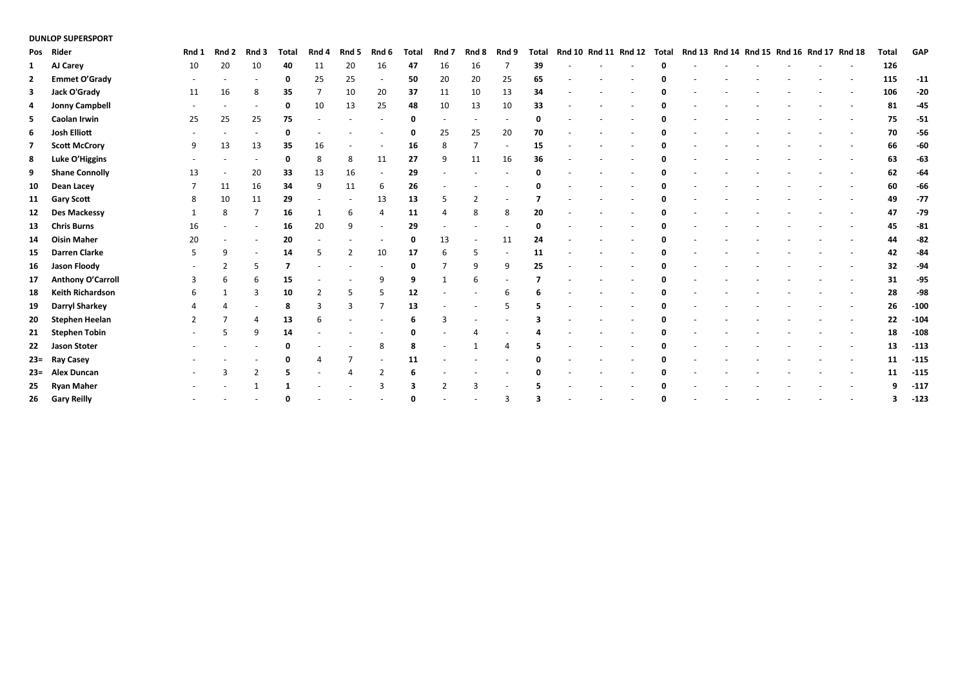## **DUNLOP SUPERSPORT**

|    | Pos Rider               | Rnd 1 | Rnd 2 | Rnd 3          | <b>Total</b> | Rnd 4          | Rnd 5          | Rnd 6                    | Total | Rnd 7 | Rnd 8          | Rnd 9 | <b>Total</b> |  | Rnd 10 Rnd 11 Rnd 12 Total | Rnd 13 Rnd 14 Rnd 15 Rnd 16 Rnd 17 Rnd 18 |  |  | Total | GAP    |
|----|-------------------------|-------|-------|----------------|--------------|----------------|----------------|--------------------------|-------|-------|----------------|-------|--------------|--|----------------------------|-------------------------------------------|--|--|-------|--------|
| 1  | AJ Carey                | 10    | 20    | 10             | 40           | 11             | 20             | 16                       | 47    | 16    | 16             |       | 39           |  |                            |                                           |  |  | 126   |        |
| 2  | <b>Emmet O'Grady</b>    |       |       |                | 0            | 25             | 25             | $\overline{\phantom{a}}$ | 50    | 20    | 20             | 25    | 65           |  |                            |                                           |  |  | 115   | $-11$  |
| 3  | Jack O'Grady            | 11    | 16    | 8              | 35           | $\overline{7}$ | 10             | 20                       | 37    | 11    | 10             | 13    | 34           |  |                            |                                           |  |  | 106   | $-20$  |
| 4  | <b>Jonny Campbell</b>   |       |       |                | 0            | 10             | 13             | 25                       | 48    | 10    | 13             | 10    | 33           |  |                            |                                           |  |  | 81    | $-45$  |
| 5. | <b>Caolan Irwin</b>     | 25    | 25    | 25             | 75           |                |                |                          |       |       |                |       |              |  |                            |                                           |  |  | 75    | $-51$  |
| 6  | Josh Elliott            |       |       |                | 0            |                |                |                          |       | 25    | 25             | 20    | 70           |  |                            |                                           |  |  | 70    | $-56$  |
| 7  | <b>Scott McCrory</b>    | 9     | 13    | 13             | 35           | 16             |                |                          | 16    | 8     | $\overline{7}$ |       | 15           |  |                            |                                           |  |  | 66    | $-60$  |
| 8  | Luke O'Higgins          |       |       |                | 0            | 8              | 8              | 11                       | 27    | 9     | 11             | 16    | 36           |  |                            |                                           |  |  | 63    | $-63$  |
| 9  | <b>Shane Connolly</b>   | 13    |       | 20             | 33           | 13             | 16             |                          | 29    |       |                |       |              |  |                            |                                           |  |  | 62    | $-64$  |
| 10 | Dean Lacey              |       | 11    | 16             | 34           | 9              | 11             | 6                        | 26    |       |                |       |              |  |                            |                                           |  |  | 60    | $-66$  |
| 11 | <b>Gary Scott</b>       | 8     | 10    | 11             | 29           |                |                | 13                       | 13    |       | $\overline{2}$ |       |              |  |                            |                                           |  |  | 49    | $-77$  |
| 12 | <b>Des Mackessy</b>     |       | 8     |                | 16           |                | 6              | $\overline{4}$           | 11    |       | 8              | 8     | 20           |  |                            |                                           |  |  | 47    | $-79$  |
| 13 | <b>Chris Burns</b>      | 16    |       |                | 16           | 20             | 9              |                          | 29    |       |                |       |              |  |                            |                                           |  |  | 45    | $-81$  |
| 14 | <b>Oisin Maher</b>      | 20    |       |                | 20           |                |                |                          |       | 13    |                | 11    | 24           |  |                            |                                           |  |  | 44    | $-82$  |
| 15 | <b>Darren Clarke</b>    | 5     | 9     |                | 14           | 5              | $\overline{2}$ | 10                       | 17    | 6     | 5              |       | 11           |  |                            |                                           |  |  | 42    | -84    |
| 16 | Jason Floody            |       |       |                |              |                |                |                          |       |       | 9              | q     | 25           |  |                            |                                           |  |  | 32    | $-94$  |
| 17 | Anthony O'Carroll       |       | 6     | 6              | 15           |                |                | 9                        | 9     |       | 6              |       |              |  |                            |                                           |  |  | 31    | $-95$  |
| 18 | <b>Keith Richardson</b> | 6     |       | 3              | 10           | $\mathcal{P}$  | 5              | 5                        | 12    |       |                |       |              |  |                            |                                           |  |  | 28    | -98    |
| 19 | <b>Darryl Sharkey</b>   |       |       |                | 8            | 3              | 3              |                          | 13    |       |                |       |              |  |                            |                                           |  |  | 26    | $-100$ |
| 20 | <b>Stephen Heelan</b>   |       |       |                | 13           | 6              |                |                          |       | 3     |                |       |              |  |                            |                                           |  |  | 22    | $-104$ |
| 21 | <b>Stephen Tobin</b>    |       |       | q              | 14           |                |                |                          |       |       |                |       |              |  |                            |                                           |  |  | 18    | $-108$ |
|    | 22 Jason Stoter         |       |       |                |              |                |                | 8                        |       |       |                |       |              |  |                            |                                           |  |  | 13    | $-113$ |
|    | 23= Ray Casey           |       |       |                |              |                |                |                          | 11    |       |                |       |              |  |                            |                                           |  |  | 11    | $-115$ |
|    | 23= Alex Duncan         |       |       | $\overline{2}$ |              |                |                | $\overline{2}$           |       |       |                |       |              |  |                            |                                           |  |  | 11    | $-115$ |
|    | 25 Ryan Maher           |       |       |                |              |                |                |                          |       |       |                |       |              |  |                            |                                           |  |  |       | $-117$ |
|    | 26 Gary Reilly          |       |       |                |              |                |                |                          |       |       |                |       |              |  |                            |                                           |  |  |       | $-123$ |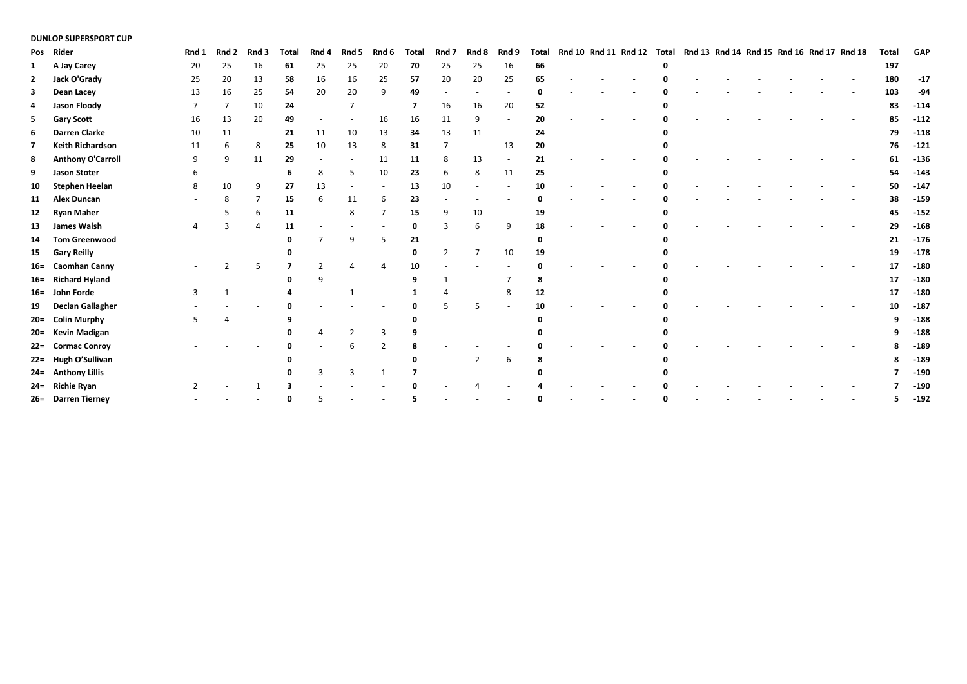#### **DUNLOP SUPERSPORT CUP**

|    | Pos Rider                | Rnd 1 | Rnd 2 | Rnd 3 | <b>Total</b> | Rnd 4 | Rnd 5 | Rnd 6        | <b>Total</b> | Rnd 7          | Rnd 8          | Rnd 9 | <b>Total</b> |  | Rnd 10 Rnd 11 Rnd 12 Total | Rnd 13 Rnd 14 Rnd 15 Rnd 16 Rnd 17 Rnd 18 |  |  | <b>Total</b> | <b>GAP</b> |
|----|--------------------------|-------|-------|-------|--------------|-------|-------|--------------|--------------|----------------|----------------|-------|--------------|--|----------------------------|-------------------------------------------|--|--|--------------|------------|
| 1  | A Jay Carey              | 20    | 25    | 16    | 61           | 25    | 25    | 20           | 70           | 25             | 25             | 16    | 66           |  |                            |                                           |  |  | 197          |            |
| 2  | Jack O'Grady             | 25    | 20    | 13    | 58           | 16    | 16    | 25           | 57           | 20             | 20             | 25    | 65           |  |                            |                                           |  |  | 180          | $-17$      |
| 3  | Dean Lacey               | 13    | 16    | 25    | 54           | 20    | 20    | 9            | 49           |                |                |       |              |  |                            |                                           |  |  | 103          | $-94$      |
| 4  | <b>Jason Floody</b>      |       |       | 10    | 24           |       |       |              |              | 16             | 16             | 20    | 52           |  |                            |                                           |  |  | 83           | $-114$     |
| 5  | <b>Gary Scott</b>        | 16    | 13    | 20    | 49           |       |       | 16           | 16           | 11             | 9              |       | 20           |  |                            |                                           |  |  | 85           | $-112$     |
| 6  | <b>Darren Clarke</b>     | 10    | 11    |       | 21           | 11    | 10    | 13           | 34           | 13             | 11             |       | 24           |  |                            |                                           |  |  | 79           | $-118$     |
| 7  | <b>Keith Richardson</b>  | 11    | 6     | 8     | 25           | 10    | 13    | 8            | 31           |                |                | 13    | 20           |  |                            |                                           |  |  | 76           | $-121$     |
| 8  | <b>Anthony O'Carroll</b> | q     | 9     | 11    | 29           |       |       | 11           | 11           | 8              | 13             |       | 21           |  |                            |                                           |  |  | 61           | $-136$     |
| 9  | <b>Jason Stoter</b>      |       |       |       | 6            | 8     | 5     | 10           | 23           | 6              | 8              | 11    | 25           |  |                            |                                           |  |  | 54           | $-143$     |
| 10 | <b>Stephen Heelan</b>    | 8     | 10    | 9     | 27           | 13    |       |              | 13           | 10             |                |       | 10           |  |                            |                                           |  |  | 50           | $-147$     |
| 11 | <b>Alex Duncan</b>       |       | 8     |       | 15           | 6     | 11    | 6            | 23           |                |                |       |              |  |                            |                                           |  |  | 38           | $-159$     |
| 12 | <b>Ryan Maher</b>        |       |       |       | 11           |       | 8     | 7            | 15           | 9              | 10             |       | 19           |  |                            |                                           |  |  | 45           | $-152$     |
| 13 | James Walsh              |       | 3     |       | 11           |       |       |              |              |                | 6              | q     | 18           |  |                            |                                           |  |  | 29           | $-168$     |
| 14 | <b>Tom Greenwood</b>     |       |       |       |              |       | 9     | 5            | 21           |                |                |       |              |  |                            |                                           |  |  | 21           | $-176$     |
|    | 15 Gary Reilly           |       |       |       |              |       |       |              | 0            | $\overline{2}$ | 7              | 10    | 19           |  |                            |                                           |  |  | 19           | $-178$     |
|    | 16= Caomhan Canny        |       |       |       |              |       |       | 4            | 10           |                |                |       |              |  |                            |                                           |  |  | 17           | $-180$     |
|    | 16= Richard Hyland       |       |       |       |              | 9     |       |              |              |                |                |       |              |  |                            |                                           |  |  | 17           | $-180$     |
|    | 16= John Forde           | з     |       |       |              |       |       |              |              |                |                |       | 12           |  |                            |                                           |  |  | 17           | $-180$     |
|    | 19 Declan Gallagher      |       |       |       |              |       |       |              |              |                | 5              |       | 10           |  |                            |                                           |  |  | 10           | $-187$     |
|    | 20= Colin Murphy         |       |       |       |              |       |       |              |              |                |                |       |              |  |                            |                                           |  |  |              | $-188$     |
|    | 20= Kevin Madigan        |       |       |       |              |       |       | 3            |              |                |                |       |              |  |                            |                                           |  |  |              | $-188$     |
|    | 22= Cormac Conroy        |       |       |       |              |       | 6     | 2            |              |                |                |       |              |  |                            |                                           |  |  |              | $-189$     |
|    | 22= Hugh O'Sullivan      |       |       |       |              |       |       |              |              |                | $\overline{2}$ |       |              |  |                            |                                           |  |  |              | $-189$     |
|    | 24= Anthony Lillis       |       |       |       |              | 3     | 3     | $\mathbf{1}$ |              |                |                |       |              |  |                            |                                           |  |  |              | $-190$     |
|    | 24= Richie Ryan          |       |       |       |              |       |       |              |              |                |                |       |              |  |                            |                                           |  |  |              | $-190$     |
|    | 26= Darren Tierney       |       |       |       |              |       |       |              |              |                |                |       |              |  |                            |                                           |  |  |              | $-192$     |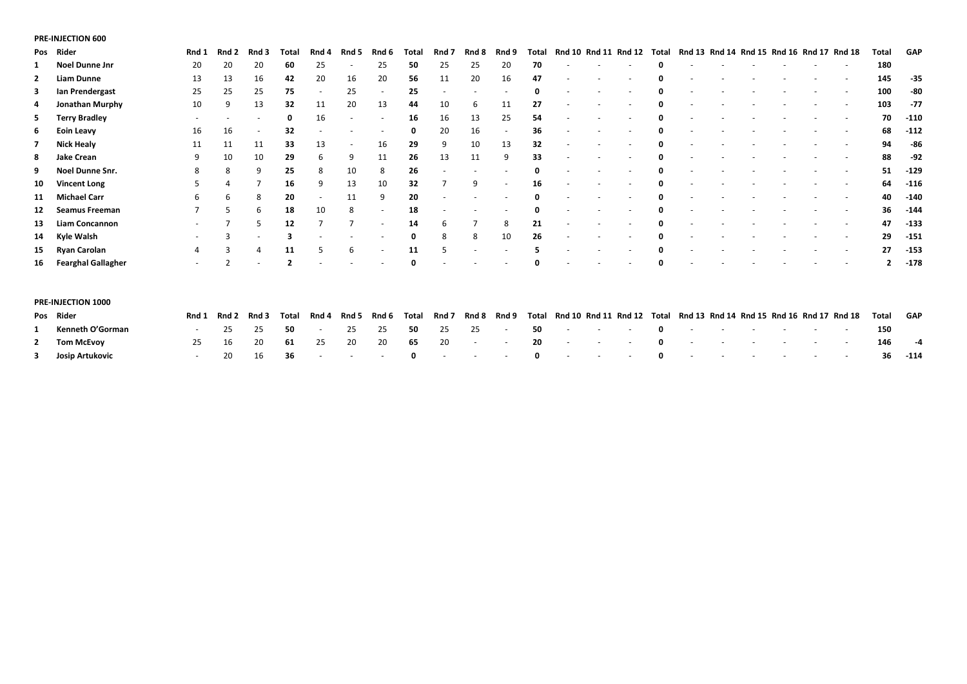## **PRE-INJECTION 600**

|              | Pos Rider              | Rnd 1          | Rnd 2 | Rnd 3 | Total       | Rnd 4 | Rnd 5                    | Rnd 6                    | Total | Rnd 7                    | Rnd 8 | Rnd 9                    | Total | Rnd 10 Rnd 11 Rnd 12 |  | Total | Rnd 13 Rnd 14 Rnd 15 Rnd 16 Rnd 17 Rnd 18 |  |  |                          | Total | GAP    |
|--------------|------------------------|----------------|-------|-------|-------------|-------|--------------------------|--------------------------|-------|--------------------------|-------|--------------------------|-------|----------------------|--|-------|-------------------------------------------|--|--|--------------------------|-------|--------|
|              | Noel Dunne Jnr         | 20             | 20    | 20    | 60          | 25    |                          | 25                       | 50    | 25                       | 25    | 20                       | 70    |                      |  |       |                                           |  |  | $\overline{\phantom{a}}$ | 180   |        |
| $\mathbf{2}$ | <b>Liam Dunne</b>      | 13             | 13    | 16    | 42          | 20    | 16                       | 20                       | 56    | 11                       | 20    | 16                       | 47    |                      |  |       |                                           |  |  |                          | 145   | -35    |
| 3            | Ian Prendergast        | 25             | 25    | 25    | 75          |       | 25                       | $\overline{a}$           | 25    | $\overline{\phantom{a}}$ |       |                          | 0     |                      |  |       |                                           |  |  | $\overline{\phantom{a}}$ | 100   | -80    |
| 4            | Jonathan Murphy        | 10             | 9     | 13    | 32          | 11    | 20                       | 13                       | 44    | 10                       | 6     | 11                       | 27    |                      |  |       |                                           |  |  |                          | 103   | -77    |
| 5            | <b>Terry Bradley</b>   |                |       |       | $\mathbf 0$ | 16    | $\overline{\phantom{a}}$ | $\overline{a}$           | 16    | 16                       | 13    | 25                       | 54    |                      |  |       |                                           |  |  |                          | 70    | $-110$ |
| 6            | Eoin Leavy             | 16             | 16    |       | 32          |       |                          | $\overline{\phantom{a}}$ | 0     | 20                       | 16    | $\overline{\phantom{a}}$ | 36    |                      |  |       |                                           |  |  |                          | 68    | $-112$ |
| 7            | <b>Nick Healy</b>      | 11             | 11    | 11    | 33          | 13    |                          | 16                       | 29    | 9                        | 10    | 13                       | 32    |                      |  |       |                                           |  |  |                          | 94    | -86    |
| 8            | Jake Crean             | 9              | 10    | 10    | 29          | 6     | 9                        | 11                       | 26    | 13                       | 11    | 9                        | 33    |                      |  |       |                                           |  |  |                          | 88    | -92    |
| 9            | <b>Noel Dunne Snr.</b> | 8              | 8     | q     | 25          | 8     | 10                       | 8                        | 26    | $\overline{\phantom{a}}$ |       |                          |       |                      |  |       |                                           |  |  |                          | 51    | -129   |
| 10           | <b>Vincent Long</b>    |                | 4     |       | 16          | 9     | 13                       | 10                       | 32    |                          | 9     | $\overline{\phantom{a}}$ | 16    |                      |  |       |                                           |  |  |                          | 64    | $-116$ |
|              | 11 Michael Carr        | 6              | 6     | 8     | 20          |       | 11                       | 9                        | 20    |                          |       |                          | 0     |                      |  |       |                                           |  |  |                          | 40    | $-140$ |
|              | 12 Seamus Freeman      |                |       | 6     | 18          | 10    | 8                        | $\overline{\phantom{a}}$ | 18    |                          |       |                          |       |                      |  |       |                                           |  |  |                          | 36    | $-144$ |
|              | 13 Liam Concannon      |                |       |       | 12          |       |                          | $\overline{\phantom{a}}$ | 14    | 6                        |       | 8                        | 21    |                      |  |       |                                           |  |  |                          | 47    | $-133$ |
|              | 14 Kyle Walsh          |                |       |       | З           |       |                          |                          |       | 8                        | 8     | 10                       | 26    |                      |  |       |                                           |  |  |                          | 29    | $-151$ |
|              | 15 Ryan Carolan        | 4              |       |       | 11          |       | 6                        |                          | 11    |                          |       |                          |       |                      |  |       |                                           |  |  |                          | 27    | $-153$ |
|              | 16 Fearghal Gallagher  | $\overline{a}$ |       |       |             |       |                          |                          |       |                          |       |                          |       |                      |  |       |                                           |  |  |                          |       | $-178$ |
|              |                        |                |       |       |             |       |                          |                          |       |                          |       |                          |       |                      |  |       |                                           |  |  |                          |       |        |

|                | <b>PRE-INJECTION 1000</b> |       |             |       |                          |       |                    |         |                            |  |                          |  |  |  |                                                                                                  |     |        |
|----------------|---------------------------|-------|-------------|-------|--------------------------|-------|--------------------|---------|----------------------------|--|--------------------------|--|--|--|--------------------------------------------------------------------------------------------------|-----|--------|
|                | Pos Rider                 | Rnd 1 | Rnd 2 Rnd 3 | Total | Rnd 4                    | Rnd 5 | Rnd 6 Total Rnd 7  |         |                            |  |                          |  |  |  | Rnd 8 Rnd 9 Total Rnd 10 Rnd 11 Rnd 12 Total Rnd 13 Rnd 14 Rnd 15 Rnd 16 Rnd 17 Rnd 18 Total GAP |     |        |
|                | 1 Kenneth O'Gorman        |       | 25 25       | 50    | <b>Contract Contract</b> |       | 25  25  50  25  25 |         | the company of the company |  | 50 - - - 0 - - - - - - - |  |  |  |                                                                                                  | 150 |        |
| $\overline{2}$ | Tom McEvov                | 25.   | 20          |       | 61 25                    | 20    | - 20               | 65 20 - | and the state of the       |  | 20 - - - 0 - - - - - - - |  |  |  |                                                                                                  | 146 | $-4$   |
|                | 3 Josip Artukovic         |       |             |       |                          |       |                    |         |                            |  |                          |  |  |  |                                                                                                  | 36  | $-114$ |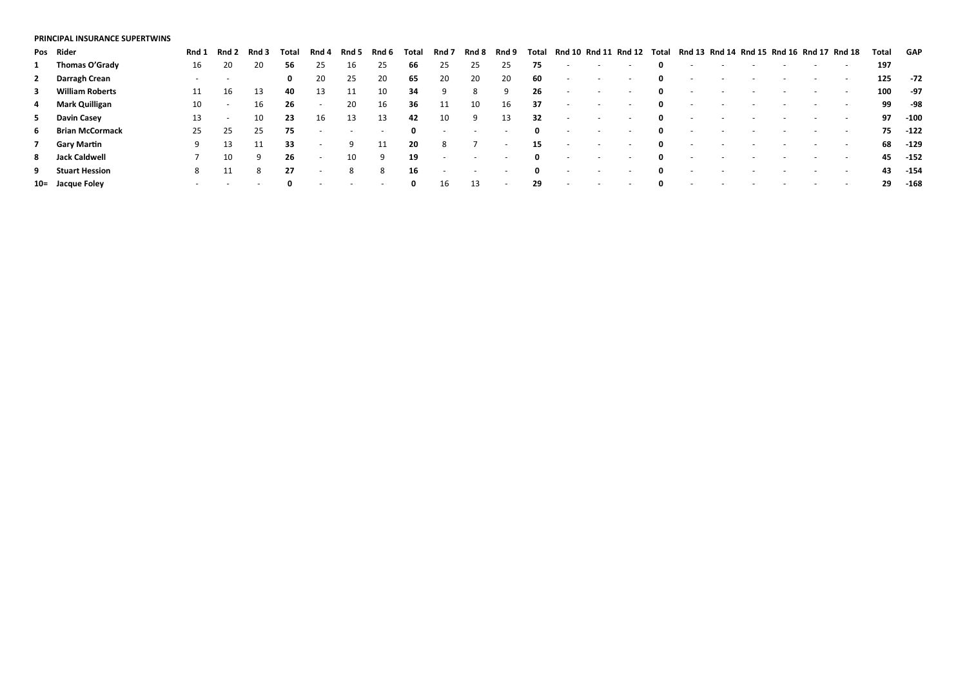#### **PRINCIPAL INSURANCE SUPERTWINS**

|              | Pos Rider              | Rnd 1 | Rnd 2                    | Rnd 3 | Total | Rnd 4                    | Rnd 5 | Rnd 6                    | Total        | Rnd 7                    | Rnd 8 | Rnd 9                    | Total        | Rnd 10 Rnd 11 Rnd 12 |                          |                          | Total | Rnd 13 Rnd 14 Rnd 15 Rnd 16 Rnd 17 Rnd 18 |  |                          |                          | Total | GAP    |
|--------------|------------------------|-------|--------------------------|-------|-------|--------------------------|-------|--------------------------|--------------|--------------------------|-------|--------------------------|--------------|----------------------|--------------------------|--------------------------|-------|-------------------------------------------|--|--------------------------|--------------------------|-------|--------|
| 1            | Thomas O'Grady         | 16    | 20                       | 20    | 56    | 25                       | 16    | 25                       | -66          | 25                       | 25    | 25                       | 75           |                      | $\overline{\phantom{0}}$ |                          | 0     | $\overline{\phantom{a}}$                  |  |                          |                          | 197   |        |
|              | 2 Darragh Crean        |       | $\overline{\phantom{a}}$ |       | 0     | 20                       | 25    | 20                       | 65           | 20                       | 20    | 20                       | 60           | $\sim$               | $\overline{\phantom{a}}$ | $\overline{\phantom{0}}$ | 0     | $\sim$                                    |  |                          | $\sim$                   | 125   | -72    |
| $\mathbf{3}$ | <b>William Roberts</b> |       | 16                       | 13    | 40    | 13                       | 11    | 10                       | -34          | 9                        | 8     | -9                       | 26           |                      | $\overline{\phantom{0}}$ | $\overline{\phantom{0}}$ | 0     | $\sim$                                    |  |                          | $\sim$                   | 100   | -97    |
|              | 4 Mark Quilligan       | 10    | $\sim$                   | 16    | 26    | $\sim$                   | 20    | 16                       | 36           | 11                       | 10    | 16                       | 37           | $\sim$               | $\overline{\phantom{0}}$ | $\overline{a}$           | 0     | $\overline{\phantom{a}}$                  |  |                          |                          | 99    | -98    |
|              | 5 Davin Casey          | 13    | $\overline{\phantom{a}}$ | 10    | 23    | 16                       | 13    | 13                       | 42           | 10                       | 9     | 13                       | 32           |                      | $\overline{\phantom{0}}$ |                          | 0     |                                           |  |                          |                          | 97    | $-100$ |
|              | 6 Brian McCormack      | 25    | -25                      | 25    | 75    | $\sim$                   |       | $\overline{\phantom{a}}$ | $\mathbf{0}$ | $\sim$                   |       | $\overline{\phantom{a}}$ | $\mathbf{0}$ | $\sim$               | $\sim$                   | $\overline{\phantom{0}}$ | 0     | $\overline{\phantom{a}}$                  |  |                          | $\overline{\phantom{0}}$ | 75    | $-122$ |
|              | 7 Gary Martin          | 9     | 13                       |       | 33    | $\overline{\phantom{a}}$ | -9    | 11                       | 20           | 8                        |       | $\overline{\phantom{a}}$ | 15           | $\sim$               | $\sim$                   | $\sim$                   | 0     | $\sim$                                    |  |                          |                          | 68    | $-129$ |
|              | 8 Jack Caldwell        |       | 10                       | 9     | 26    | $\sim$                   | 10    | -9                       | 19           | $\overline{\phantom{a}}$ |       | $\sim$                   | $\mathbf{0}$ | $\sim$               | $\sim$                   | $\overline{\phantom{a}}$ | 0     | $\overline{\phantom{a}}$                  |  |                          | $\sim$                   | 45    | $-152$ |
| 9            | <b>Stuart Hession</b>  | 8     |                          | 8     | 27    | $\overline{\phantom{a}}$ | 8     | 8                        | 16           | $\overline{\phantom{a}}$ |       | $\sim$                   | $\mathbf{0}$ | $\sim$               | $\sim$                   | $\overline{a}$           | 0     | $\overline{\phantom{a}}$                  |  | $\overline{\phantom{a}}$ | $\overline{\phantom{a}}$ | 43    | -154   |
|              | 10= Jacque Foley       |       |                          |       | 0     |                          |       |                          | 0            | 16                       | 13    | $\overline{\phantom{a}}$ | 29           |                      | $\overline{\phantom{0}}$ |                          | 0     |                                           |  |                          |                          | 29    | $-168$ |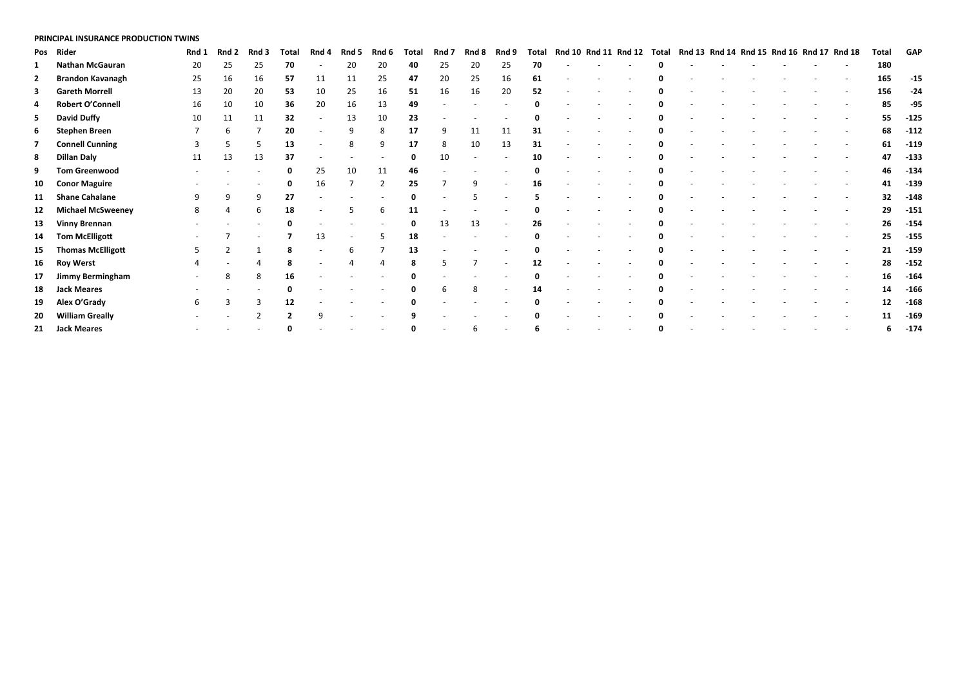#### **PRINCIPAL INSURANCE PRODUCTION TWINS**

|                | Pos Rider                | Rnd 1 | Rnd 2 | Rnd 3 | <b>Total</b> | Rnd 4 | Rnd 5 | Rnd 6          | Total | Rnd 7 | Rnd 8                    | Rnd 9 | Total       | Rnd 10 Rnd 11 Rnd 12 |  | Total    | Rnd 13 Rnd 14 Rnd 15 Rnd 16 Rnd 17 Rnd 18 |  |  | <b>Total</b> | <b>GAP</b> |
|----------------|--------------------------|-------|-------|-------|--------------|-------|-------|----------------|-------|-------|--------------------------|-------|-------------|----------------------|--|----------|-------------------------------------------|--|--|--------------|------------|
| 1              | <b>Nathan McGauran</b>   | 20    | 25    | 25    | 70           |       | 20    | 20             | 40    | 25    | 20                       | 25    | 70          |                      |  |          |                                           |  |  | 180          |            |
| $\mathbf{2}$   | <b>Brandon Kavanagh</b>  | 25    | 16    | 16    | 57           | 11    | 11    | 25             | 47    | 20    | 25                       | 16    | 61          |                      |  | O        |                                           |  |  | 165          | $-15$      |
| 3              | <b>Gareth Morrell</b>    | 13    | 20    | 20    | 53           | 10    | 25    | 16             | 51    | 16    | 16                       | 20    | 52          |                      |  |          |                                           |  |  | 156          | $-24$      |
| 4              | <b>Robert O'Connell</b>  | 16    | 10    | 10    | 36           | 20    | 16    | 13             | 49    |       |                          |       | 0           |                      |  | O        |                                           |  |  | 85           | -95        |
| 5.             | David Duffy              | 10    | 11    | 11    | 32           |       | 13    | 10             | 23    |       |                          |       |             |                      |  |          |                                           |  |  | 55           | $-125$     |
|                | 6 Stephen Breen          |       | 6     |       | 20           |       |       | 8              | 17    | 9     | 11                       | 11    | 31          |                      |  |          |                                           |  |  | 68           | $-112$     |
| $\overline{ }$ | <b>Connell Cunning</b>   |       |       |       | 13           |       | 8     | 9              | 17    | 8     | 10                       | 13    | 31          |                      |  | 0        |                                           |  |  | 61           | $-119$     |
| 8              | Dillan Daly              | 11    | 13    | 13    | 37           |       |       |                | 0     | 10    | $\overline{\phantom{a}}$ |       | 10          |                      |  | 0        |                                           |  |  | 47           | $-133$     |
| 9              | <b>Tom Greenwood</b>     |       |       |       | 0            | 25    | 10    | 11             | 46    |       |                          |       | Ω           |                      |  |          |                                           |  |  | 46           | $-134$     |
| 10             | <b>Conor Maguire</b>     |       |       |       | Ω            | 16    |       | $\overline{2}$ | 25    |       | 9                        |       | 16          |                      |  |          |                                           |  |  | 41           | $-139$     |
| 11             | <b>Shane Cahalane</b>    | q     | 9     | q     | 27           |       |       |                | 0     |       |                          |       |             |                      |  | $\Omega$ |                                           |  |  | 32           | $-148$     |
| 12             | <b>Michael McSweeney</b> | 8     | Δ     |       | 18           |       |       | 6              | 11    |       |                          |       | 0           |                      |  | 0        |                                           |  |  | 29           | $-151$     |
| 13             | <b>Vinny Brennan</b>     |       |       |       | Ω            |       |       |                | 0     | 13    | 13                       |       | 26          |                      |  |          |                                           |  |  | 26           | $-154$     |
| 14             | <b>Tom McElligott</b>    |       |       |       |              | 13    |       |                | 18    |       |                          |       | $\mathbf 0$ |                      |  |          |                                           |  |  | 25           | $-155$     |
| 15             | <b>Thomas McElligott</b> |       |       |       |              |       | 6     |                | 13    |       |                          |       |             |                      |  |          |                                           |  |  | 21           | $-159$     |
| 16             | <b>Roy Werst</b>         |       |       |       | 8            |       | 4     | $\overline{4}$ | 8     | 5     |                          |       | 12          |                      |  | 0        |                                           |  |  | 28           | $-152$     |
| 17             | Jimmy Bermingham         |       | 8     |       | 16           |       |       |                |       |       |                          |       |             |                      |  |          |                                           |  |  | 16           | $-164$     |
| 18             | <b>Jack Meares</b>       |       |       |       |              |       |       |                |       | 6     | 8                        |       | 14          |                      |  | 0        |                                           |  |  | 14           | $-166$     |
| 19             | Alex O'Grady             | 6     |       |       | 12           |       |       |                |       |       |                          |       | 0           |                      |  | 0        |                                           |  |  | 12           | $-168$     |
| 20             | <b>William Greally</b>   |       |       |       |              |       |       |                |       |       |                          |       |             |                      |  |          |                                           |  |  | 11           | $-169$     |
|                | 21 Jack Meares           |       |       |       |              |       |       |                |       |       |                          |       | 6           |                      |  |          |                                           |  |  | 6            | $-174$     |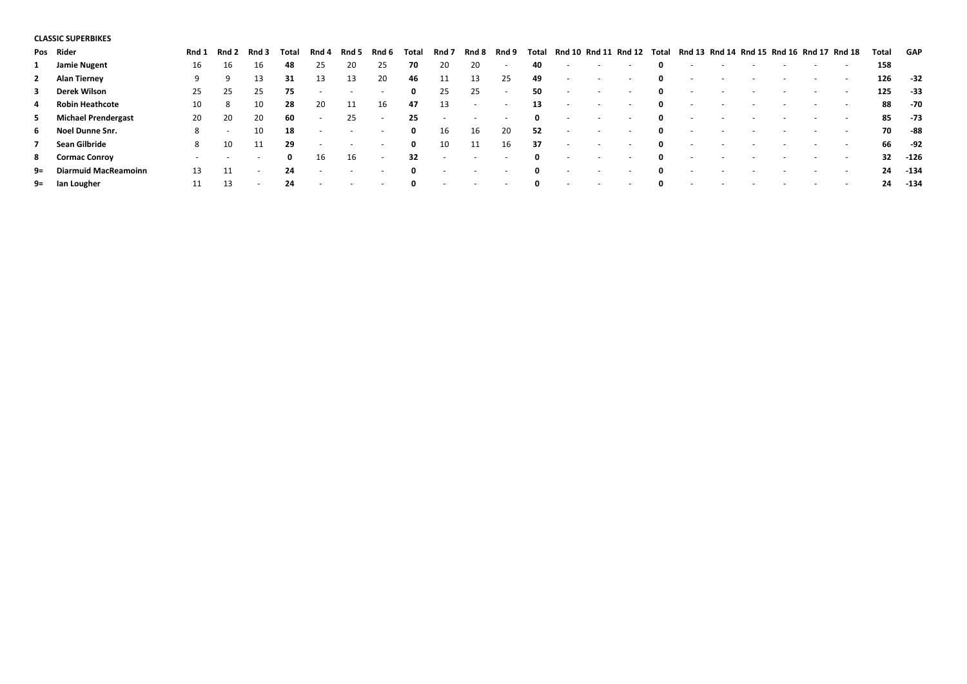## **CLASSIC SUPERBIKES**

|                | Pos Rider               | Rnd 1 | Rnd 2                    | Rnd 3                    | Total | Rnd 4                    | Rnd 5                    | Rnd 6                    | Tota         | Rnd 7  | Rnd 8                    | Rnd 9                    | Total        | <b>Rnd 10</b>            | Rnd 11         | Rnd 12 | Total       | Rnd 13 Rnd 14            | Rnd 15 Rnd 16 Rnd 17 |        |                | Rnd 18                   | Total | GAP    |
|----------------|-------------------------|-------|--------------------------|--------------------------|-------|--------------------------|--------------------------|--------------------------|--------------|--------|--------------------------|--------------------------|--------------|--------------------------|----------------|--------|-------------|--------------------------|----------------------|--------|----------------|--------------------------|-------|--------|
| 1              | Jamie Nugent            | 16    | 16                       | 16                       | 48    | 25                       | 20                       | 25                       | 70           | 20     | 20                       | $\overline{\phantom{a}}$ | 40           | $\sim$                   |                | $\sim$ | 0           |                          |                      |        |                | $\overline{\phantom{a}}$ | 158   |        |
|                | 2 Alan Tierney          | 9     | 9                        | 13                       | 31    | 13                       | 13                       | 20                       | 46           | 11     | 13                       | 25                       | 49           | $\sim$                   | $\overline{a}$ | $\sim$ | 0           | $\overline{\phantom{a}}$ |                      |        |                | $\sim$                   | 126   | $-32$  |
|                | 3 Derek Wilson          | 25    | -25                      | -25                      | 75    | $\overline{\phantom{a}}$ | $\overline{\phantom{a}}$ | $\overline{\phantom{a}}$ | 0            | 25     | 25                       | $\overline{\phantom{a}}$ | 50           | $\sim$                   |                | $\sim$ | 0           |                          |                      |        |                | $\sim$                   | 125   | -33    |
| 4              | <b>Robin Heathcote</b>  | 10    | 8                        | 10                       | 28    | 20                       | 11                       | 16                       | 47           | 13     | $\overline{\phantom{a}}$ | $\sim$                   | 13           | $\sim$                   |                | $\sim$ | 0           |                          |                      |        |                | $\sim$                   | 88    | -70    |
|                | 5 Michael Prendergast   | 20    | 20                       | 20                       | 60    | $\sim$                   | 25                       | $\overline{\phantom{a}}$ | 25           | $\sim$ | $\overline{\phantom{a}}$ | $\sim$                   | $\mathbf{0}$ | $\overline{\phantom{a}}$ |                | $\sim$ | 0           |                          |                      |        |                | $\sim$                   | 85    | -73    |
|                | 6 Noel Dunne Snr.       | 8     | $\sim$                   | 10                       | 18    | $\sim$                   | $\sim$                   | $\sim$                   | 0            | 16     | 16                       | 20                       | -52          | $\sim$                   |                | $\sim$ | $\mathbf 0$ |                          |                      |        |                | $\sim$                   | 70    | -88    |
| $\overline{ }$ | Sean Gilbride           | 8     | 10                       |                          | 29    | $\sim$                   | $\sim$                   | $\overline{a}$           | 0            | 10     | 11                       | 16                       | 37           | $\sim$                   |                | $\sim$ | 0           |                          |                      |        |                | $\overline{\phantom{0}}$ | 66    | -92    |
|                | 8 Cormac Conroy         |       | $\overline{\phantom{0}}$ | $\sim$                   | 0     | 16                       | 16                       | $\overline{\phantom{a}}$ | 32           | $\sim$ | $\overline{\phantom{a}}$ | $\sim$                   | $\mathbf{0}$ | $\sim$                   | $\sim$         | $\sim$ | 0           |                          |                      | $\sim$ | $\overline{a}$ | $\overline{\phantom{0}}$ | 32    | $-126$ |
|                | 9= Diarmuid MacReamoinn | 13    | 11                       | $\overline{\phantom{a}}$ | 24    | $\sim$                   | $\sim$                   | $\overline{\phantom{a}}$ | $\mathbf{0}$ | $\sim$ | $\sim$                   | $\sim$                   | $\mathbf{0}$ | $\sim$                   | $\sim$         | $\sim$ | 0           |                          |                      |        |                |                          | 24    | -134   |
|                | 9= Ian Lougher          |       | 13                       | $\overline{\phantom{0}}$ | 24    |                          |                          |                          | 0            |        |                          |                          | $\mathbf{0}$ | $\overline{\phantom{a}}$ |                | $\sim$ | 0           |                          |                      |        |                | $\sim$                   | 24    | -134   |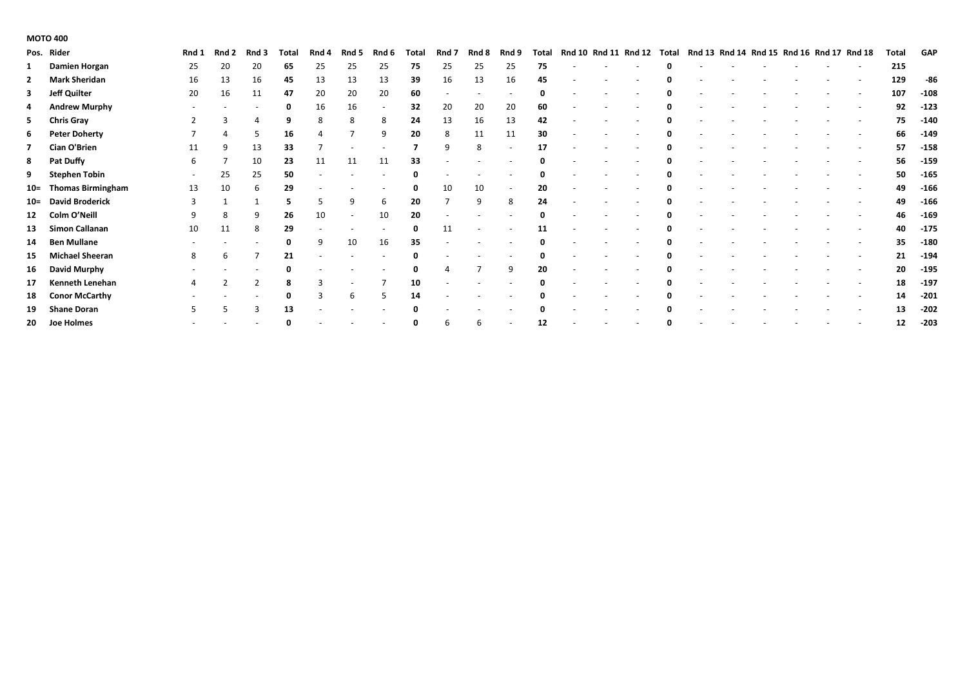## **MOTO 400**

|                | Pos. Rider             | Rnd 1 | Rnd 2 | Rnd 3 | Total | Rnd 4 | Rnd 5                    | Rnd 6                    | Total | Rnd 7 | Rnd 8 | Rnd 9                    | Total |  | Rnd 10 Rnd 11 Rnd 12 | Total | Rnd 13 Rnd 14 Rnd 15 Rnd 16 Rnd 17 Rnd 18 |  |  |                          | Total | <b>GAP</b> |
|----------------|------------------------|-------|-------|-------|-------|-------|--------------------------|--------------------------|-------|-------|-------|--------------------------|-------|--|----------------------|-------|-------------------------------------------|--|--|--------------------------|-------|------------|
|                | Damien Horgan          | 25    | 20    | 20    | 65    | 25    | 25                       | 25                       | 75    | 25    | 25    | 25                       | 75    |  |                      |       |                                           |  |  |                          | 215   |            |
| $\overline{2}$ | <b>Mark Sheridan</b>   | 16    | 13    | 16    | 45    | 13    | 13                       | 13                       | 39    | 16    | 13    | 16                       | 45    |  |                      | 0     |                                           |  |  |                          | 129   | -86        |
| 3              | <b>Jeff Quilter</b>    | 20    | 16    | 11    | 47    | 20    | 20                       | 20                       | 60    |       |       | $\overline{\phantom{a}}$ | 0     |  |                      |       |                                           |  |  |                          | 107   | $-108$     |
| 4              | <b>Andrew Murphy</b>   |       |       |       | 0     | 16    | 16                       | $\overline{\phantom{a}}$ | 32    | 20    | 20    | 20                       | 60    |  |                      |       |                                           |  |  |                          | 92    | $-123$     |
| 5              | <b>Chris Gray</b>      |       |       |       |       | 8     | 8                        | 8                        | 24    | 13    | 16    | 13                       | 42    |  |                      |       |                                           |  |  |                          | 75    | $-140$     |
| 6              | <b>Peter Doherty</b>   |       |       | 5     | 16    |       |                          | 9                        | 20    | 8     | 11    | 11                       | 30    |  |                      |       |                                           |  |  |                          | 66    | $-149$     |
| $\mathbf{z}$   | Cian O'Brien           | 11    | 9     | 13    | 33    |       |                          |                          |       | 9     | 8     | $\overline{\phantom{a}}$ | 17    |  |                      |       |                                           |  |  | $\overline{\phantom{a}}$ | 57    | $-158$     |
| 8              | Pat Duffy              | 6     |       | 10    | 23    | 11    | 11                       | 11                       | 33    |       |       |                          |       |  |                      |       |                                           |  |  |                          | 56    | $-159$     |
| 9              | <b>Stephen Tobin</b>   |       | 25    | 25    | 50    |       |                          |                          |       |       |       |                          |       |  |                      |       |                                           |  |  |                          | 50    | $-165$     |
|                | 10= Thomas Birmingham  | 13    | 10    | 6     | 29    |       |                          |                          |       | 10    | 10    | $\overline{\phantom{a}}$ | 20    |  |                      |       |                                           |  |  |                          | 49    | $-166$     |
|                | 10= David Broderick    | 3     |       |       |       |       | 9                        | 6                        | 20    |       | 9     | 8                        | 24    |  |                      | 0     |                                           |  |  |                          | 49    | $-166$     |
|                | 12 Colm O'Neill        |       | 8     | 9     | 26    | 10    | $\overline{\phantom{a}}$ | 10                       | 20    |       |       |                          | 0     |  |                      |       |                                           |  |  | $\overline{\phantom{a}}$ | 46    | $-169$     |
| 13             | Simon Callanan         | 10    | 11    | 8     | 29    |       |                          |                          | 0     | 11    |       | $\overline{\phantom{0}}$ | 11    |  |                      |       |                                           |  |  |                          | 40    | $-175$     |
| 14             | <b>Ben Mullane</b>     |       |       |       |       | 9     | 10                       | 16                       | 35    |       |       |                          |       |  |                      |       |                                           |  |  |                          | 35    | $-180$     |
| 15             | <b>Michael Sheeran</b> | 8     | 6     |       | 21    |       |                          |                          |       |       |       |                          | 0     |  |                      |       |                                           |  |  |                          | 21    | $-194$     |
| 16             | David Murphy           |       |       |       |       |       |                          |                          | 0     |       |       | 9                        | 20    |  |                      |       |                                           |  |  | $\overline{\phantom{a}}$ | 20    | $-195$     |
| 17             | Kenneth Lenehan        |       |       |       |       |       |                          |                          | 10    |       |       |                          | 0     |  |                      | n     |                                           |  |  |                          | 18    | $-197$     |
| 18             | <b>Conor McCarthy</b>  |       |       |       | O     |       | 6                        | -5                       | 14    |       |       |                          |       |  |                      |       |                                           |  |  |                          | 14    | $-201$     |
| 19             | <b>Shane Doran</b>     |       |       |       | 13    |       |                          |                          |       |       |       |                          |       |  |                      |       |                                           |  |  |                          | 13    | $-202$     |
|                | 20 Joe Holmes          |       |       |       |       |       |                          |                          | 0     | 6     |       |                          | 12    |  |                      | 0     |                                           |  |  |                          | 12    | $-203$     |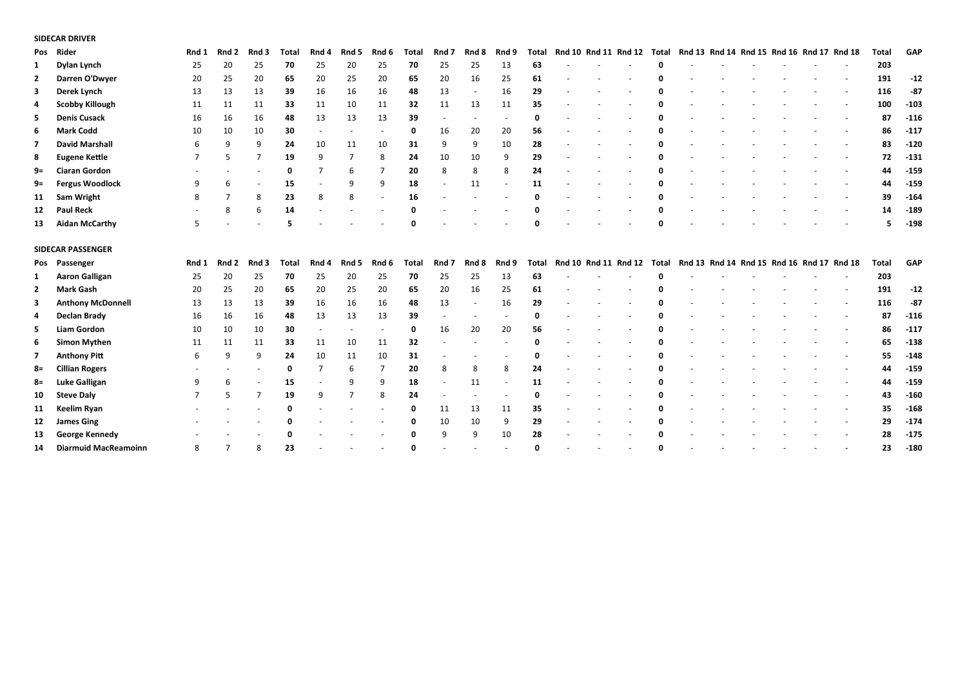## **SIDECAR DRIVER**

| Pos | Rider                       | Rnd 1 | Rnd 2 | Rnd 3          | <b>Total</b> | Rnd 4          | Rnd 5 | Rnd 6                    | <b>Total</b> | Rnd 7 | Rnd 8 | Rnd 9 | Total |  | Rnd 10 Rnd 11 Rnd 12 | Total | Rnd 13 Rnd 14 Rnd 15 Rnd 16 Rnd 17 Rnd 18 |  |  | Total        | GAP    |
|-----|-----------------------------|-------|-------|----------------|--------------|----------------|-------|--------------------------|--------------|-------|-------|-------|-------|--|----------------------|-------|-------------------------------------------|--|--|--------------|--------|
| 1   | Dylan Lynch                 | 25    | 20    | 25             | 70           | 25             | 20    | 25                       | 70           | 25    | 25    | 13    | 63    |  |                      |       |                                           |  |  | 203          |        |
| 2   | Darren O'Dwyer              | 20    | 25    | 20             | 65           | 20             | 25    | 20                       | 65           | 20    | 16    | 25    | 61    |  |                      |       |                                           |  |  | 191          | $-12$  |
| 3   | Derek Lynch                 | 13    | 13    | 13             | 39           | 16             | 16    | 16                       | 48           | 13    |       | 16    | 29    |  |                      |       |                                           |  |  | 116          | $-87$  |
| 4   | <b>Scobby Killough</b>      | 11    | 11    | 11             | 33           | 11             | 10    | 11                       | 32           | 11    | 13    | 11    | 35    |  |                      |       |                                           |  |  | 100          | $-103$ |
| 5   | <b>Denis Cusack</b>         | 16    | 16    | 16             | 48           | 13             | 13    | 13                       | 39           |       |       |       | 0     |  |                      |       |                                           |  |  | 87           | $-116$ |
| 6   | <b>Mark Codd</b>            | 10    | 10    | 10             | 30           |                |       | $\overline{\phantom{a}}$ | 0            | 16    | 20    | 20    | 56    |  |                      |       |                                           |  |  | 86           | $-117$ |
|     | <b>David Marshall</b>       | 6     | 9     | q              | 24           | 10             | 11    | 10                       | 31           | 9     | 9     | 10    | 28    |  |                      |       |                                           |  |  | 83           | $-120$ |
| 8   | <b>Eugene Kettle</b>        |       | 5     |                | 19           | 9              | 7     | 8                        | 24           | 10    | 10    | 9     | 29    |  |                      |       |                                           |  |  | 72           | $-131$ |
| 9=  | <b>Ciaran Gordon</b>        |       |       |                | 0            | 7              | 6     | $\overline{7}$           | 20           | 8     | 8     | 8     | 24    |  |                      |       |                                           |  |  | 44           | $-159$ |
| 9=  | <b>Fergus Woodlock</b>      | q     | 6     |                | 15           |                | q     | 9                        | 18           |       | 11    |       | 11    |  |                      |       |                                           |  |  | 44           | $-159$ |
| 11  | <b>Sam Wright</b>           | 8     | 7     | 8              | 23           | 8              | 8     |                          | 16           |       |       |       |       |  |                      |       |                                           |  |  | 39           | $-164$ |
| 12  | <b>Paul Reck</b>            |       | 8     | -6             | 14           |                |       |                          |              |       |       |       |       |  |                      |       |                                           |  |  | 14           | $-189$ |
| 13  | <b>Aidan McCarthy</b>       | 5     |       |                | 5            |                |       |                          |              |       |       |       |       |  |                      |       |                                           |  |  |              | $-198$ |
|     | <b>SIDECAR PASSENGER</b>    |       |       |                |              |                |       |                          |              |       |       |       |       |  |                      |       |                                           |  |  |              |        |
|     | Pos Passenger               | Rnd 1 | Rnd 2 | Rnd 3          | <b>Total</b> | Rnd 4          | Rnd 5 | Rnd 6                    | <b>Total</b> | Rnd 7 | Rnd 8 | Rnd 9 | Total |  | Rnd 10 Rnd 11 Rnd 12 | Total | Rnd 13 Rnd 14 Rnd 15 Rnd 16 Rnd 17 Rnd 18 |  |  | <b>Total</b> | GAP    |
| 1   | <b>Aaron Galligan</b>       | 25    | 20    | 25             | 70           | 25             | 20    | 25                       | 70           | 25    | 25    | 13    | 63    |  |                      |       |                                           |  |  | 203          |        |
| 2   | <b>Mark Gash</b>            | 20    | 25    | 20             | 65           | 20             | 25    | 20                       | 65           | 20    | 16    | 25    | 61    |  |                      |       |                                           |  |  | 191          | $-12$  |
| 3   | <b>Anthony McDonnell</b>    | 13    | 13    | 13             | 39           | 16             | 16    | 16                       | 48           | 13    |       | 16    | 29    |  |                      |       |                                           |  |  | 116          | $-87$  |
| 4   | Declan Brady                | 16    | 16    | 16             | 48           | 13             | 13    | 13                       | 39           |       |       |       | O     |  |                      |       |                                           |  |  | 87           | $-116$ |
| 5   | <b>Liam Gordon</b>          | 10    | 10    | 10             | 30           |                |       |                          | ŋ            | 16    | 20    | 20    | 56    |  |                      |       |                                           |  |  | 86           | $-117$ |
| 6   | <b>Simon Mythen</b>         | 11    | 11    | 11             | 33           | 11             | 10    | 11                       | 32           |       |       |       | n     |  |                      |       |                                           |  |  | 65           | $-138$ |
| 7   | <b>Anthony Pitt</b>         | 6     | 9     | q              | 24           | 10             | 11    | 10                       | 31           |       |       |       |       |  |                      |       |                                           |  |  | 55           | $-148$ |
| 8=  | <b>Cillian Rogers</b>       |       |       |                | 0            | $\overline{7}$ | 6     | 7                        | 20           | 8     | 8     | 8     | 24    |  |                      |       |                                           |  |  | 44           | $-159$ |
| 8=  | <b>Luke Galligan</b>        | q     | 6     |                | 15           |                | q     | 9                        | 18           |       | 11    |       | 11    |  |                      |       |                                           |  |  | 44           | $-159$ |
| 10  | <b>Steve Daly</b>           |       | 5     | $\overline{7}$ | 19           | 9              |       | 8                        | 24           |       |       |       | n     |  |                      |       |                                           |  |  | 43           | $-160$ |
| 11  | Keelim Ryan                 |       |       |                | ŋ            |                |       |                          |              | 11    | 13    | 11    | 35    |  |                      |       |                                           |  |  | 35           | $-168$ |
| 12  | <b>James Ging</b>           |       |       |                |              |                |       |                          |              | 10    | 10    | 9     | 29    |  |                      |       |                                           |  |  | 29           | $-174$ |
| 13  | George Kennedy              |       |       |                |              |                |       |                          |              | 9     | 9     | 10    | 28    |  |                      |       |                                           |  |  | 28           | $-175$ |
| 14  | <b>Diarmuid MacReamoinn</b> | 8     | ⇁     |                | 23           |                |       |                          |              |       |       |       |       |  |                      |       |                                           |  |  | 23           | $-180$ |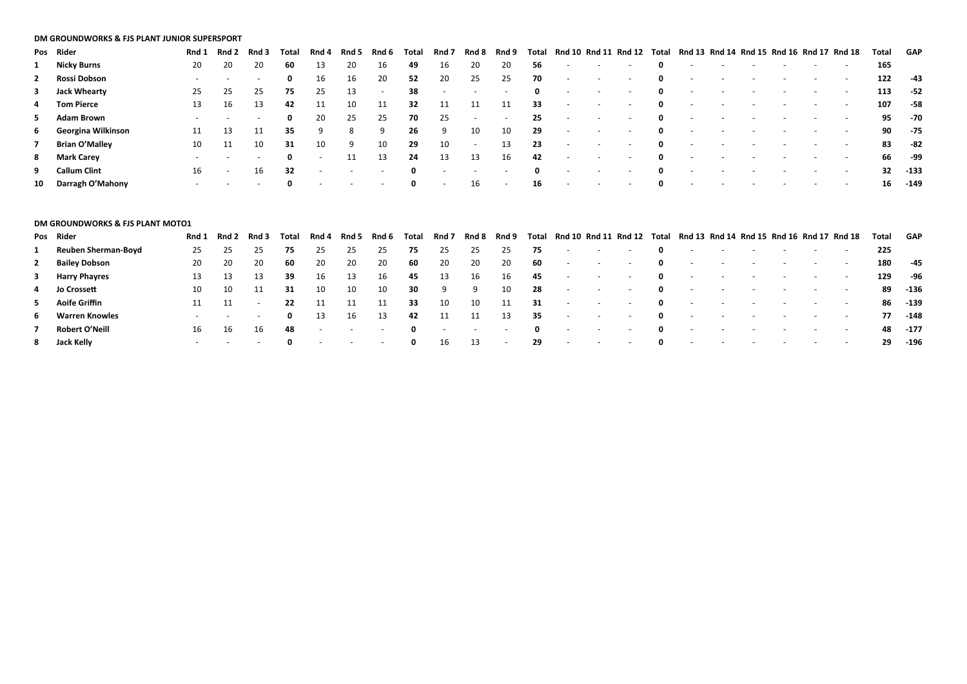#### **DM GROUNDWORKS & FJS PLANT JUNIOR SUPERSPORT**

|              | Pos Rider            | Rnd 1 | Rnd 2  | Rnd 3  | Total | Rnd 4                    | Rnd 5 | Rnd 6  | Tota         | Rnd 7  | Rnd 8                    | Rnd 9                    | Total        | Rnd 10 Rnd 11 Rnd 12 |        |                          | Total       | Rnd 13 Rnd 14 Rnd 15 Rnd 16 Rnd 17 Rnd 18 |  |        |                          |                          | Total | GAP    |
|--------------|----------------------|-------|--------|--------|-------|--------------------------|-------|--------|--------------|--------|--------------------------|--------------------------|--------------|----------------------|--------|--------------------------|-------------|-------------------------------------------|--|--------|--------------------------|--------------------------|-------|--------|
|              | 1 Nicky Burns        | 20    | 20     | 20     | 60    | 13                       | 20    | 16     | 49           | 16     | 20                       | 20                       | 56           | $\sim$               |        | $\sim$                   | 0           |                                           |  |        |                          |                          | 165   |        |
| $\mathbf{2}$ | Rossi Dobson         |       |        | $\sim$ | 0     | 16                       | 16    | 20     | 52           | 20     | 25                       | 25                       | 70           | $\sim$               |        | $\sim$                   | 0           |                                           |  |        |                          | $\sim$                   | 122   | -43    |
|              | 3 Jack Whearty       | 25    | 25     | 25     | 75    | 25                       | 13    | $\sim$ | 38           | $\sim$ | $\sim$                   | $\sim$                   | $\mathbf{0}$ | $\sim$               |        | $\sim$                   | $\mathbf 0$ |                                           |  | $\sim$ | $\overline{\phantom{0}}$ | $\sim$                   | 113   | -52    |
|              | 4 Tom Pierce         | 13    | 16     | 13     | 42    |                          | 10    | 11     | 32           | 11     | 11                       | 11                       | 33           | $\sim$               |        | $\sim$                   | 0           | $\sim$                                    |  | $\sim$ |                          | $\sim$                   | 107   | -58    |
|              | 5 Adam Brown         |       |        | $\sim$ | 0     | 20                       | 25    | 25     | 70           | 25     | $\sim$                   | $\sim$                   | 25           | $\sim$               |        | $\sim$                   | $\mathbf 0$ |                                           |  | $\sim$ |                          | $\sim$                   | 95    | -70    |
|              | 6 Georgina Wilkinson |       | 13     |        | 35    | 9                        | 8     | 9      | 26           | -9     | 10                       | 10                       | 29           | $\sim$               |        | $\sim$                   | 0           |                                           |  | $\sim$ |                          | $\sim$                   | 90    | - 75   |
|              | 7 Brian O'Malley     | 10    | 11     | 10     | 31    | 10                       | -9    | 10     | -29          | 10     | $\sim$                   | 13                       | -23          | $\sim$               | $\sim$ | $\sim$                   | 0           |                                           |  |        |                          | $\sim$                   | 83    | -82    |
|              | 8 Mark Carey         |       |        | $\sim$ | 0     | $\sim$                   | 11    | 13     | 24           | 13     | 13                       | 16                       | 42           | $\sim$               |        | $\sim$                   | 0           |                                           |  |        |                          | $\sim$                   | 66    | -99    |
|              | 9 Callum Clint       | 16    | $\sim$ | 16     | 32    | $\overline{\phantom{a}}$ |       |        | $\mathbf{0}$ | $\sim$ | $\overline{\phantom{a}}$ |                          | $\mathbf{0}$ |                      |        | $\overline{\phantom{0}}$ | 0           |                                           |  |        |                          | $\sim$                   | 32    | $-133$ |
|              | 10 Darragh O'Mahony  |       |        |        |       |                          |       |        | $\mathbf{0}$ | $\sim$ | 16                       | $\overline{\phantom{a}}$ | 16           | $\sim$               |        | $\sim$                   | 0           |                                           |  |        |                          | $\overline{\phantom{0}}$ | 16    | -149   |

| <b>DM GROUNDWORKS &amp; FJS PLANT MOTO1</b> |       |                          |        |              |                          |        |        |              |        |                   |        |              |                          |                   |                          |              |                                                                      |                          |                          |                          |                          |                          |       |          |
|---------------------------------------------|-------|--------------------------|--------|--------------|--------------------------|--------|--------|--------------|--------|-------------------|--------|--------------|--------------------------|-------------------|--------------------------|--------------|----------------------------------------------------------------------|--------------------------|--------------------------|--------------------------|--------------------------|--------------------------|-------|----------|
| Pos Rider                                   | Rnd 1 | Rnd 2                    | Rnd 3  | Total        | Rnd 4                    | Rnd 5  | Rnd 6  | Total        | Rnd 7  | Rnd 8             | Rnd 9  | Total        |                          |                   |                          |              | Rnd 10 Rnd 11 Rnd 12 Total Rnd 13 Rnd 14 Rnd 15 Rnd 16 Rnd 17 Rnd 18 |                          |                          |                          |                          |                          | Total | GAP      |
| 1 Reuben Sherman-Boyd                       | 25    | 25                       | 25     | 75           | 25                       | 25     | 25     | 75           | 25     | 25                | 25     | 75           | $\sim 100$               | $\sim$            | $\sim 10^{-11}$          | $\mathbf{0}$ | $\sim$                                                               | <b>Contract</b>          | $\sim$                   | $\sim$                   | $\sim$ 100 $\sim$        |                          | 225   |          |
| 2 Bailey Dobson                             | 20    | 20                       | 20     | 60           | 20                       | 20     | 20     | 60           | 20     | 20                | 20     | -60          | <b>Contract Contract</b> | $\sim$            | $\sim$                   | $\mathbf{0}$ | $\sim$                                                               | <b>Contract Contract</b> | $\sim$                   | $\sim$                   |                          | $\sim$                   | 180   | $-45$    |
| 3 Harry Phayres                             |       | 13                       | 13     | 39           | 16                       | 13     | 16     | 45           | 13     | 16                | 16     | 45           | $\sim$ 100 $\pm$         | $\sim$            | $\sim$                   | $\mathbf{0}$ | $\sim$                                                               | <b>Contract Contract</b> | $\sim$                   | $\sim$                   | $\sim$                   | <b>Service</b>           | 129   | -96      |
| 4 Jo Crossett                               | 10    | 10                       | 11     | 31           | 10                       | 10     | 10     | 30           | 9      | -9                | 10     | 28           | $\sim$ 100 $\pm$         | $\sim$            | $\sim$                   | $\mathbf{0}$ | $\sim$                                                               | $\sim$ 100 $\pm$         | $\sim$                   | $\sim$                   | $\sim$                   | $\sim$                   | 89    | $-136$   |
| 5 Aoife Griffin                             | 11    | 11                       | $\sim$ | 22           |                          |        | 11     | 33           | 10     | 10                | 11     | 31           | $\sim$ $-$               | $\sim$ $ \sim$    | <b>Contract Contract</b> | $\mathbf{0}$ | $\sim$                                                               | <b>Contract Contract</b> | $\sim$ 100 $\mu$         | $\sim$                   | <b>Contract Contract</b> | <b>Service State</b>     |       | 86 - 139 |
| 6 Warren Knowles                            |       | $\overline{\phantom{0}}$ | $\sim$ | $\mathbf{0}$ | 13                       | 16     | 13     | 42           | 11     | 11                | 13     | 35           | $\sim 100$               | $\sim$            | $\sim$ $-$               | $\mathbf{0}$ | $\sim$                                                               | $\sim 100$               | $\sim$                   | $\sim$                   | $\sim$                   | $\sim$                   |       | 77 -148  |
| Robert O'Neill                              | 16    | 16                       | 16     | 48           | $\overline{\phantom{a}}$ | $\sim$ | $\sim$ | $\mathbf{0}$ | $\sim$ | <b>Contractor</b> | $\sim$ | $\mathbf{0}$ | <b>Contract Contract</b> | <b>Contractor</b> | $\sim$                   | $\mathbf{0}$ | $\sim$                                                               | <b>Contract Contract</b> | <b>Contract Contract</b> | <b>Contract Contract</b> | <b>Contractor</b>        | <b>Contract Contract</b> |       | 48 - 177 |
| 8 Jack Kelly                                |       | $\overline{\phantom{0}}$ | $\sim$ |              |                          |        | $\sim$ | 0            | 16     | 13                | $\sim$ | 29           | $\sim$ $-$               | $\sim$            | $\sim$                   | $\mathbf{0}$ |                                                                      |                          | $\overline{\phantom{a}}$ | $\sim$                   | $\sim$                   | $\sim 100$               | 29    | $-196$   |